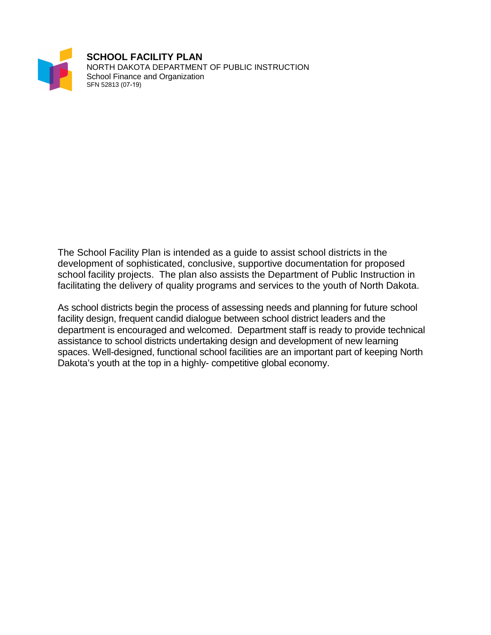

The School Facility Plan is intended as a guide to assist school districts in the development of sophisticated, conclusive, supportive documentation for proposed school facility projects. The plan also assists the Department of Public Instruction in facilitating the delivery of quality programs and services to the youth of North Dakota.

As school districts begin the process of assessing needs and planning for future school facility design, frequent candid dialogue between school district leaders and the department is encouraged and welcomed. Department staff is ready to provide technical assistance to school districts undertaking design and development of new learning spaces. Well-designed, functional school facilities are an important part of keeping North Dakota's youth at the top in a highly- competitive global economy.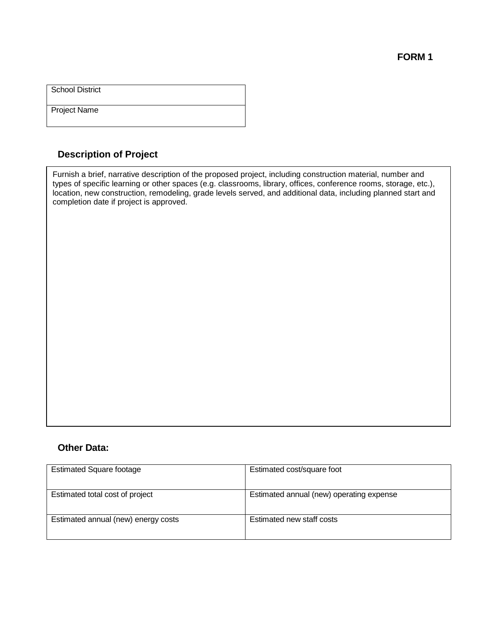Project Name

### **Description of Project**

Fur Furnish a brief, narrative description of the proposed project, including construction material, number and rpes of specific learning or other spaces (e.g. classrooms, library, offices, conference rooms, storage, ication, new construction, remodelling, grade levels served, and additional data, including planned start a<br>omnletion date if project is approved offices, conference rooms, storage, etc.), location, new construction, remodeling, grade types of specific learning or other spaces (e.g. classrooms, library, offices, conference rooms, storage, etc.), location, new construction, remodeling, grade levels served, and additional data, including planned start and completion date if project is approved.

#### **Other Data:**

| <b>Estimated Square footage</b>     | Estimated cost/square foot               |
|-------------------------------------|------------------------------------------|
| Estimated total cost of project     | Estimated annual (new) operating expense |
| Estimated annual (new) energy costs | Estimated new staff costs                |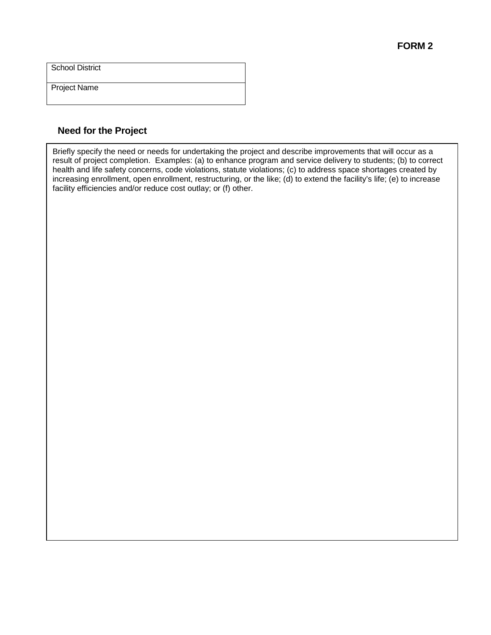Project Name

### **Need for the Project**

Briefly specify the need or needs for undertaking the project and describe improvements that will occur as a result of project completion. Examples: (a) to enhance program and service delivery to students; (b) to correct health and life safety concerns, code violations, statute violations; (c) to address space shortages created by increasing enrollment, open enrollment, restructuring, or the like; (d) to extend the facility's life; (e) to increase facility efficiencies and/or reduce cost outlay; or (f) other.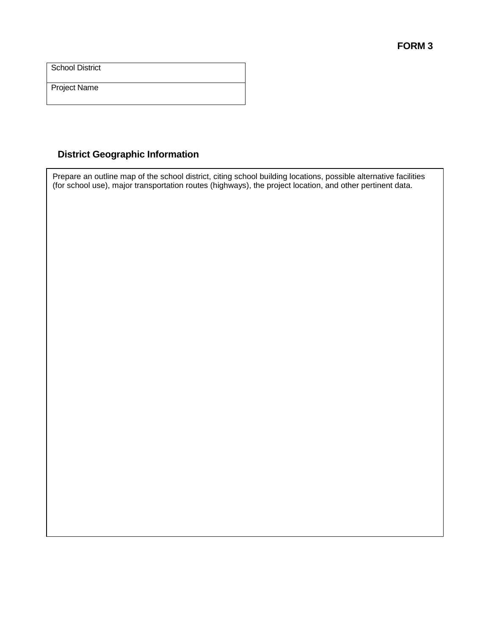Project Name

## **District Geographic Information**

Prepare an outline map of the school district, citing school building locations, possible alternative facilities (for school use), major transportation routes (highways), the project location, and other pertinent data.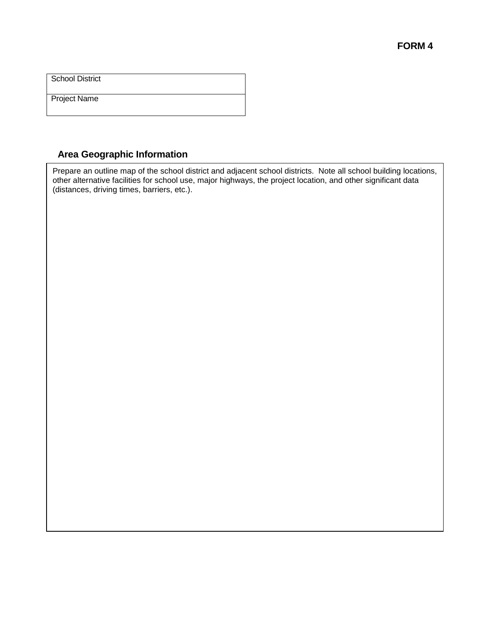Project Name

### **Area Geographic Information**

Prepare an outline map of the school district and adjacent school districts. Note all school building locations, other alternative facilities for school use, major highways, the project location, and other significant data (distances, driving times, barriers, etc.).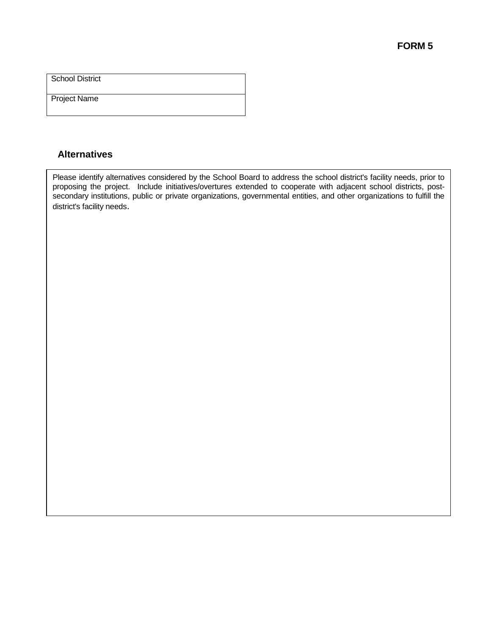Project Name

### **Alternatives**

Please identify alternatives considered by the School Board to address the school district's facility needs, prior to proposing the project. Include initiatives/overtures extended to cooperate with adjacent school districts, postsecondary institutions, public or private organizations, governmental entities, and other organizations to fulfill the district's facility needs.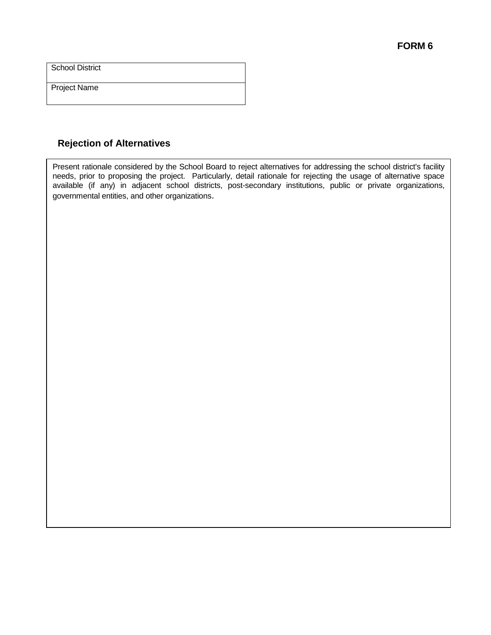Project Name

# **Rejection of Alternatives**

Present rationale considered by the School Board to reject alternatives for addressing the school district's facility needs, prior to proposing the project. Particularly, detail rationale for rejecting the usage of alternative space available (if any) in adjacent school districts, post-secondary institutions, public or private organizations, governmental entities, and other organizations.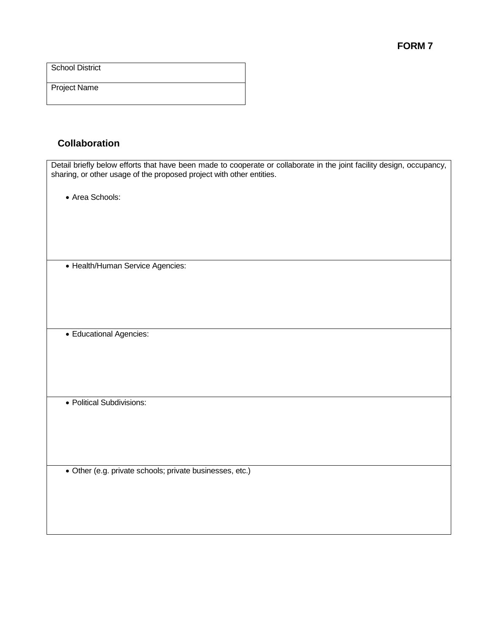Project Name

## **Collaboration**

| Detail briefly below efforts that have been made to cooperate or collaborate in the joint facility design, occupancy,<br>sharing, or other usage of the proposed project with other entities. |
|-----------------------------------------------------------------------------------------------------------------------------------------------------------------------------------------------|
|                                                                                                                                                                                               |
| • Area Schools:                                                                                                                                                                               |
|                                                                                                                                                                                               |
|                                                                                                                                                                                               |
|                                                                                                                                                                                               |
| • Health/Human Service Agencies:                                                                                                                                                              |
|                                                                                                                                                                                               |
|                                                                                                                                                                                               |
|                                                                                                                                                                                               |
| · Educational Agencies:                                                                                                                                                                       |
|                                                                                                                                                                                               |
|                                                                                                                                                                                               |
|                                                                                                                                                                                               |
| • Political Subdivisions:                                                                                                                                                                     |
|                                                                                                                                                                                               |
|                                                                                                                                                                                               |
|                                                                                                                                                                                               |
|                                                                                                                                                                                               |
| · Other (e.g. private schools; private businesses, etc.)                                                                                                                                      |
|                                                                                                                                                                                               |
|                                                                                                                                                                                               |
|                                                                                                                                                                                               |
|                                                                                                                                                                                               |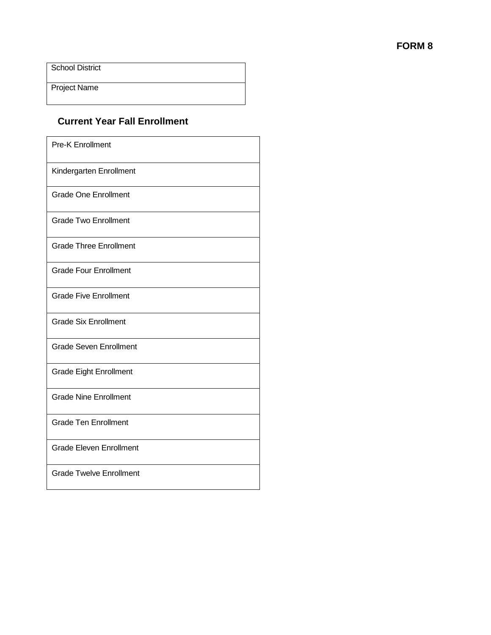Project Name

## **Current Year Fall Enrollment**

| <b>Pre-K Enrollment</b>        |
|--------------------------------|
| Kindergarten Enrollment        |
| <b>Grade One Enrollment</b>    |
| <b>Grade Two Enrollment</b>    |
| <b>Grade Three Enrollment</b>  |
| <b>Grade Four Enrollment</b>   |
| <b>Grade Five Enrollment</b>   |
| <b>Grade Six Enrollment</b>    |
| <b>Grade Seven Enrollment</b>  |
| <b>Grade Eight Enrollment</b>  |
| <b>Grade Nine Enrollment</b>   |
| <b>Grade Ten Enrollment</b>    |
| <b>Grade Eleven Enrollment</b> |
| <b>Grade Twelve Enrollment</b> |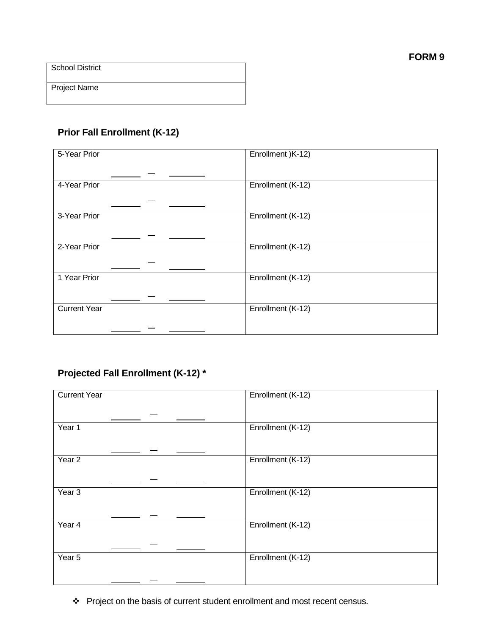Project Name

# **Prior Fall Enrollment (K-12)**

| 5-Year Prior        | Enrollment )K-12) |
|---------------------|-------------------|
|                     |                   |
| 4-Year Prior        | Enrollment (K-12) |
|                     |                   |
|                     |                   |
| 3-Year Prior        | Enrollment (K-12) |
|                     |                   |
|                     |                   |
|                     |                   |
| 2-Year Prior        | Enrollment (K-12) |
|                     |                   |
|                     |                   |
| 1 Year Prior        | Enrollment (K-12) |
|                     |                   |
|                     |                   |
|                     |                   |
| <b>Current Year</b> | Enrollment (K-12) |
|                     |                   |
|                     |                   |
|                     |                   |

# **Projected Fall Enrollment (K-12) \***

| <b>Current Year</b> | Enrollment (K-12) |
|---------------------|-------------------|
|                     |                   |
|                     |                   |
|                     |                   |
| Year 1              | Enrollment (K-12) |
|                     |                   |
|                     |                   |
| Year <sub>2</sub>   | Enrollment (K-12) |
|                     |                   |
|                     |                   |
|                     |                   |
| $\overline{Year}$ 3 | Enrollment (K-12) |
|                     |                   |
|                     |                   |
| Year 4              | Enrollment (K-12) |
|                     |                   |
|                     |                   |
|                     |                   |
| Year 5              | Enrollment (K-12) |
|                     |                   |
|                     |                   |

Project on the basis of current student enrollment and most recent census.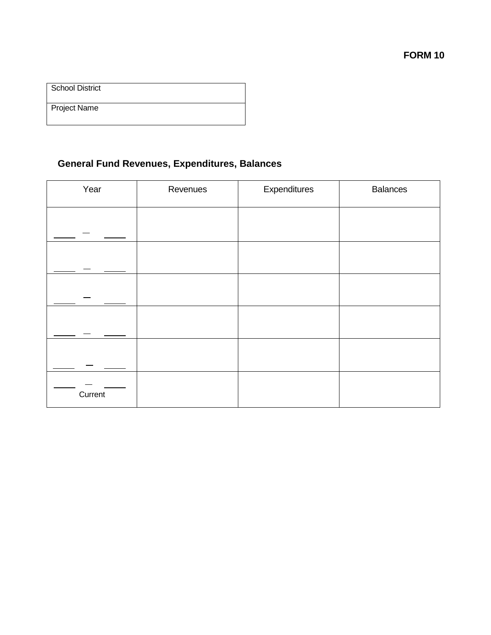| School District     |  |
|---------------------|--|
| <b>Project Name</b> |  |

# **General Fund Revenues, Expenditures, Balances**

| Year    | Revenues | Expenditures | <b>Balances</b> |
|---------|----------|--------------|-----------------|
|         |          |              |                 |
|         |          |              |                 |
|         |          |              |                 |
|         |          |              |                 |
|         |          |              |                 |
| Current |          |              |                 |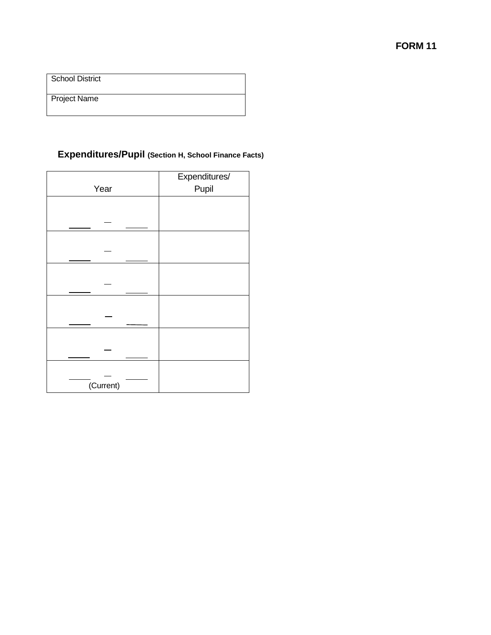Project Name

# **Expenditures/Pupil (Section H, School Finance Facts)**

|           | Expenditures/ |
|-----------|---------------|
| Year      | Pupil         |
|           |               |
|           |               |
|           |               |
|           |               |
|           |               |
|           |               |
|           |               |
|           |               |
|           |               |
|           |               |
|           |               |
|           |               |
|           |               |
|           |               |
|           |               |
|           |               |
| (Current) |               |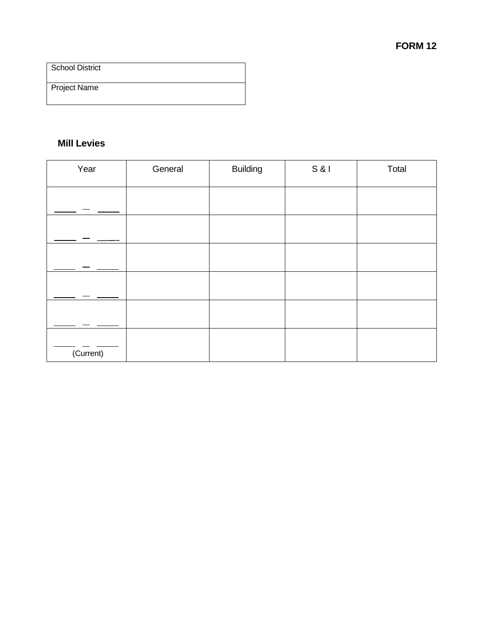Project Name

### **Mill Levies**

| Year      | General | <b>Building</b> | S & | Total |
|-----------|---------|-----------------|-----|-------|
|           |         |                 |     |       |
|           |         |                 |     |       |
|           |         |                 |     |       |
|           |         |                 |     |       |
|           |         |                 |     |       |
|           |         |                 |     |       |
|           |         |                 |     |       |
| (Current) |         |                 |     |       |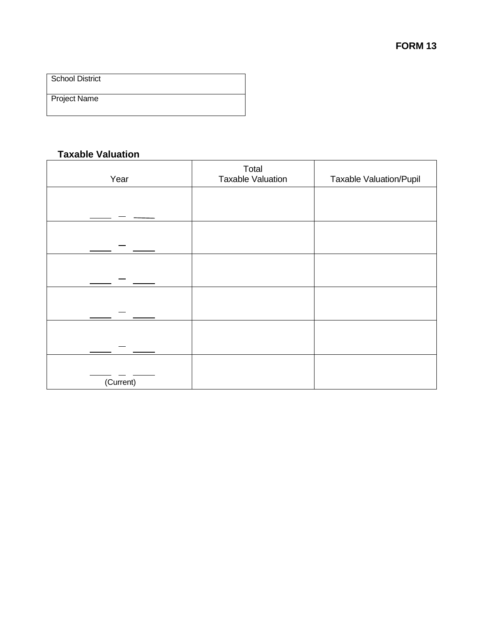Project Name

### **Taxable Valuation**

| Year      | Total<br><b>Taxable Valuation</b> | <b>Taxable Valuation/Pupil</b> |  |  |
|-----------|-----------------------------------|--------------------------------|--|--|
|           |                                   |                                |  |  |
|           |                                   |                                |  |  |
|           |                                   |                                |  |  |
|           |                                   |                                |  |  |
|           |                                   |                                |  |  |
|           |                                   |                                |  |  |
|           |                                   |                                |  |  |
|           |                                   |                                |  |  |
| (Current) |                                   |                                |  |  |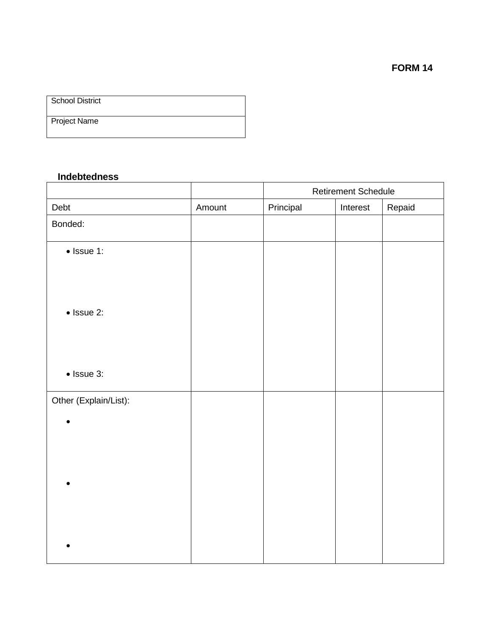| <b>School District</b> |  |
|------------------------|--|
| <b>Project Name</b>    |  |

### **Indebtedness**

|                       | <b>Retirement Schedule</b> |           |          |        |
|-----------------------|----------------------------|-----------|----------|--------|
| Debt                  | Amount                     | Principal | Interest | Repaid |
| Bonded:               |                            |           |          |        |
| $\bullet$ Issue 1:    |                            |           |          |        |
|                       |                            |           |          |        |
|                       |                            |           |          |        |
| $\bullet$ Issue 2:    |                            |           |          |        |
|                       |                            |           |          |        |
| $\bullet$ Issue 3:    |                            |           |          |        |
| Other (Explain/List): |                            |           |          |        |
|                       |                            |           |          |        |
|                       |                            |           |          |        |
|                       |                            |           |          |        |
|                       |                            |           |          |        |
|                       |                            |           |          |        |
|                       |                            |           |          |        |
|                       |                            |           |          |        |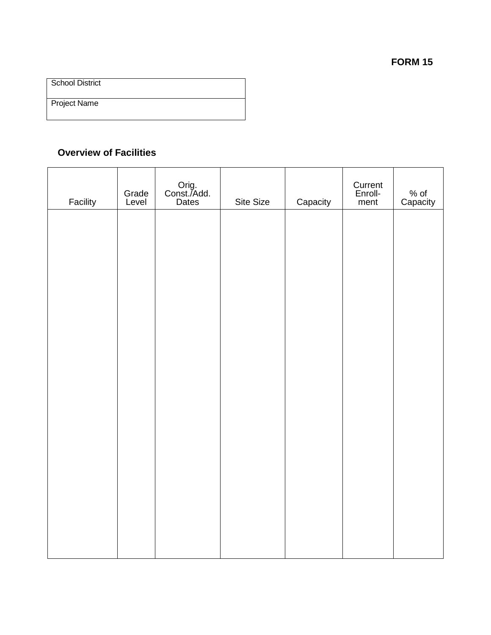Project Name

## **Overview of Facilities**

| Facility | Grade<br>Level | Orig.<br>Const./Add.<br>Dates | Site Size | Capacity | Current<br>Enroll-<br>ment | % of<br>Capacity |
|----------|----------------|-------------------------------|-----------|----------|----------------------------|------------------|
|          |                |                               |           |          |                            |                  |
|          |                |                               |           |          |                            |                  |
|          |                |                               |           |          |                            |                  |
|          |                |                               |           |          |                            |                  |
|          |                |                               |           |          |                            |                  |
|          |                |                               |           |          |                            |                  |
|          |                |                               |           |          |                            |                  |
|          |                |                               |           |          |                            |                  |
|          |                |                               |           |          |                            |                  |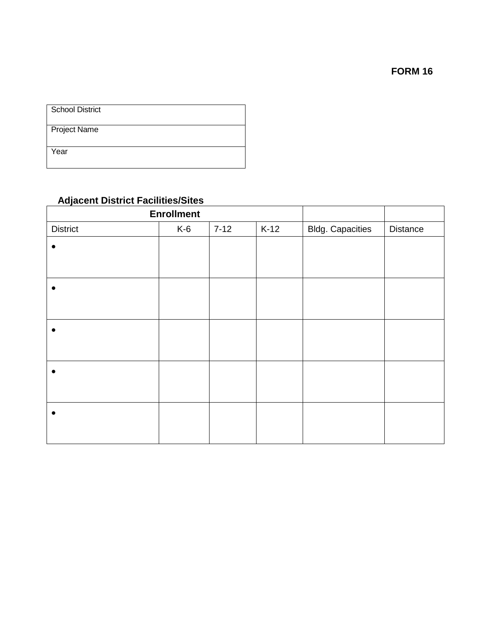Project Name

Year

# **Adjacent District Facilities/Sites**

| <b>Enrollment</b> |       |          |        |                         |          |
|-------------------|-------|----------|--------|-------------------------|----------|
| <b>District</b>   | $K-6$ | $7 - 12$ | $K-12$ | <b>Bldg. Capacities</b> | Distance |
| $\bullet$         |       |          |        |                         |          |
|                   |       |          |        |                         |          |
| ●                 |       |          |        |                         |          |
|                   |       |          |        |                         |          |
|                   |       |          |        |                         |          |
|                   |       |          |        |                         |          |
|                   |       |          |        |                         |          |
|                   |       |          |        |                         |          |
|                   |       |          |        |                         |          |
|                   |       |          |        |                         |          |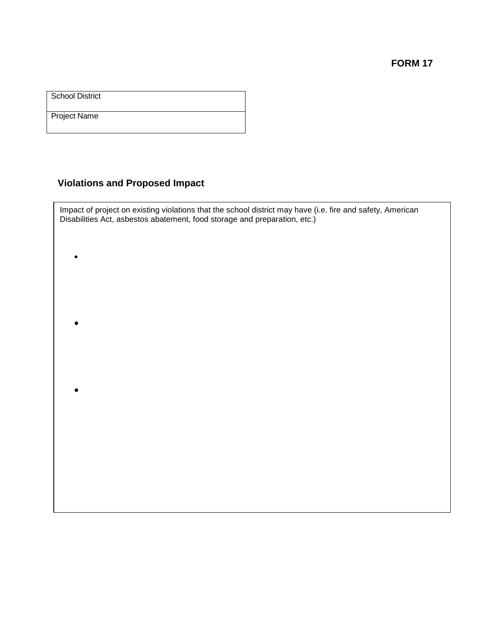**FORM 17**

**School District** 

Project Name

•

•

•

# **Violations and Proposed Impact**

Impact of project on existing violations that the school district may have (i.e. fire and safety, American Disabilities Act, asbestos abatement, food storage and preparation, etc.)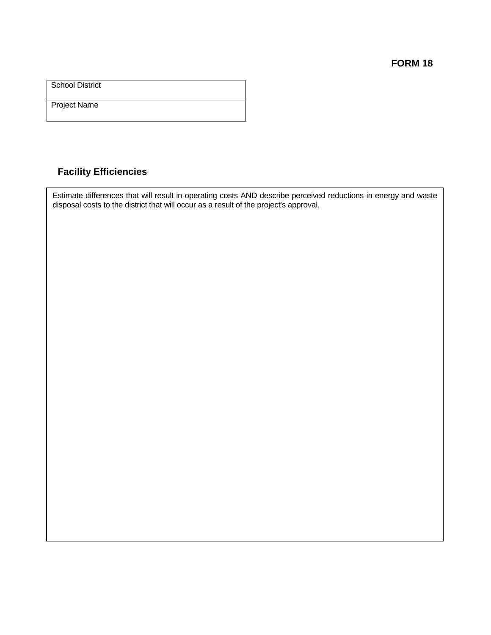**FORM 18**

School District

Project Name

## **Facility Efficiencies**

Estimate differences that will result in operating costs AND describe perceived reductions in energy and waste disposal costs to the district that will occur as a result of the project's approval.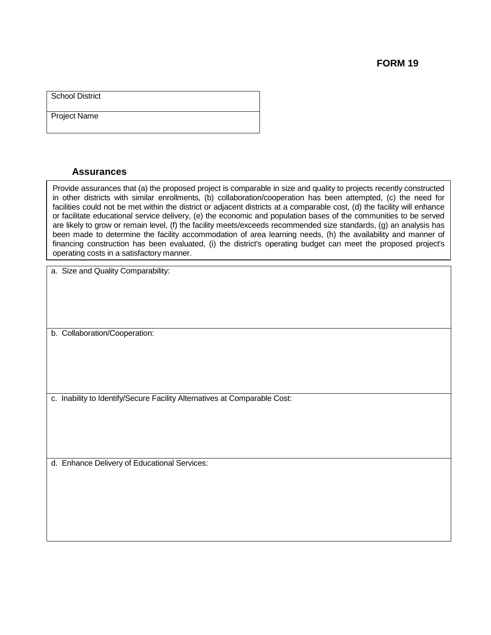Project Name

### **Assurances**

Provide assurances that (a) the proposed project is comparable in size and quality to projects recently constructed in other districts with similar enrollments, (b) collaboration/cooperation has been attempted, (c) the need for facilities could not be met within the district or adjacent districts at a comparable cost, (d) the facility will enhance or facilitate educational service delivery, (e) the economic and population bases of the communities to be served are likely to grow or remain level, (f) the facility meets/exceeds recommended size standards, (g) an analysis has been made to determine the facility accommodation of area learning needs, (h) the availability and manner of financing construction has been evaluated, (i) the district's operating budget can meet the proposed project's operating costs in a satisfactory manner.

a. Size and Quality Comparability:

b. Collaboration/Cooperation:

c. Inability to Identify/Secure Facility Alternatives at Comparable Cost:

d. Enhance Delivery of Educational Services: